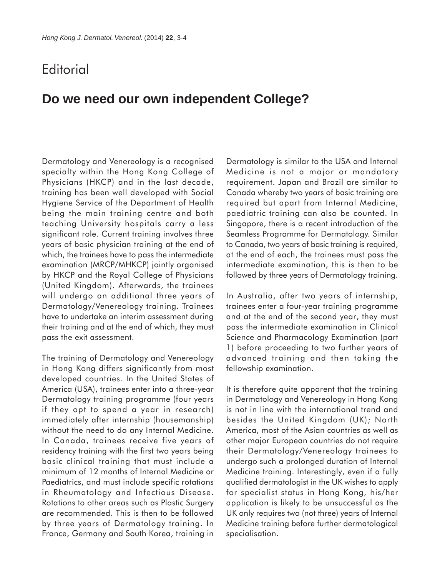## **Editorial**

## **Do we need our own independent College?**

Dermatology and Venereology is a recognised specialty within the Hong Kong College of Physicians (HKCP) and in the last decade, training has been well developed with Social Hygiene Service of the Department of Health being the main training centre and both teaching University hospitals carry a less significant role. Current training involves three years of basic physician training at the end of which, the trainees have to pass the intermediate examination (MRCP/MHKCP) jointly organised by HKCP and the Royal College of Physicians (United Kingdom). Afterwards, the trainees will undergo an additional three years of Dermatology/Venereology training. Trainees have to undertake an interim assessment during their training and at the end of which, they must pass the exit assessment.

The training of Dermatology and Venereology in Hong Kong differs significantly from most developed countries. In the United States of America (USA), trainees enter into a three-year Dermatology training programme (four years if they opt to spend a year in research) immediately after internship (housemanship) without the need to do any Internal Medicine. In Canada, trainees receive five years of residency training with the first two years being basic clinical training that must include a minimum of 12 months of Internal Medicine or Paediatrics, and must include specific rotations in Rheumatology and Infectious Disease. Rotations to other areas such as Plastic Surgery are recommended. This is then to be followed by three years of Dermatology training. In France, Germany and South Korea, training in

Dermatology is similar to the USA and Internal Medicine is not a major or mandatory requirement. Japan and Brazil are similar to Canada whereby two years of basic training are required but apart from Internal Medicine, paediatric training can also be counted. In Singapore, there is a recent introduction of the Seamless Programme for Dermatology. Similar to Canada, two years of basic training is required, at the end of each, the trainees must pass the intermediate examination, this is then to be followed by three years of Dermatology training.

In Australia, after two years of internship, trainees enter a four-year training programme and at the end of the second year, they must pass the intermediate examination in Clinical Science and Pharmacology Examination (part 1) before proceeding to two further years of advanced training and then taking the fellowship examination.

It is therefore quite apparent that the training in Dermatology and Venereology in Hong Kong is not in line with the international trend and besides the United Kingdom (UK); North America, most of the Asian countries as well as other major European countries do not require their Dermatology/Venereology trainees to undergo such a prolonged duration of Internal Medicine training. Interestingly, even if a fully qualified dermatologist in the UK wishes to apply for specialist status in Hong Kong, his/her application is likely to be unsuccessful as the UK only requires two (not three) years of Internal Medicine training before further dermatological specialisation.